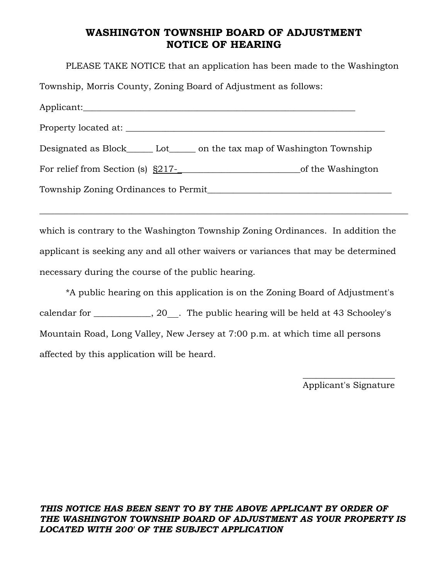## **WASHINGTON TOWNSHIP BOARD OF ADJUSTMENT NOTICE OF HEARING**

PLEASE TAKE NOTICE that an application has been made to the Washington Township, Morris County, Zoning Board of Adjustment as follows: Applicant: Property located at: \_\_\_\_\_\_\_\_\_\_\_\_\_\_\_\_\_\_\_\_\_\_\_\_\_\_\_\_\_\_\_\_\_\_\_\_\_\_\_\_\_\_\_\_\_\_\_\_\_\_\_\_\_\_\_\_\_\_\_ Designated as Block\_\_\_\_\_\_ Lot\_\_\_\_\_\_ on the tax map of Washington Township For relief from Section (s)  $\underline{S217}$ -<br>of the Washington Township Zoning Ordinances to Permit\_\_\_\_\_\_\_\_\_\_\_\_\_\_\_\_\_\_\_\_\_\_\_\_\_\_\_\_\_\_\_\_\_\_\_\_\_\_\_\_\_\_

which is contrary to the Washington Township Zoning Ordinances. In addition the applicant is seeking any and all other waivers or variances that may be determined necessary during the course of the public hearing.

 $\_$  , and the set of the set of the set of the set of the set of the set of the set of the set of the set of the set of the set of the set of the set of the set of the set of the set of the set of the set of the set of th

\*A public hearing on this application is on the Zoning Board of Adjustment's calendar for \_\_\_\_\_\_\_\_\_\_, 20\_\_. The public hearing will be held at 43 Schooley's Mountain Road, Long Valley, New Jersey at 7:00 p.m. at which time all persons affected by this application will be heard.

 $\mathcal{L}_\text{max}$  and  $\mathcal{L}_\text{max}$  and  $\mathcal{L}_\text{max}$  and  $\mathcal{L}_\text{max}$  and  $\mathcal{L}_\text{max}$  and  $\mathcal{L}_\text{max}$ 

Applicant's Signature

## *THIS NOTICE HAS BEEN SENT TO BY THE ABOVE APPLICANT BY ORDER OF THE WASHINGTON TOWNSHIP BOARD OF ADJUSTMENT AS YOUR PROPERTY IS LOCATED WITH 200' OF THE SUBJECT APPLICATION*